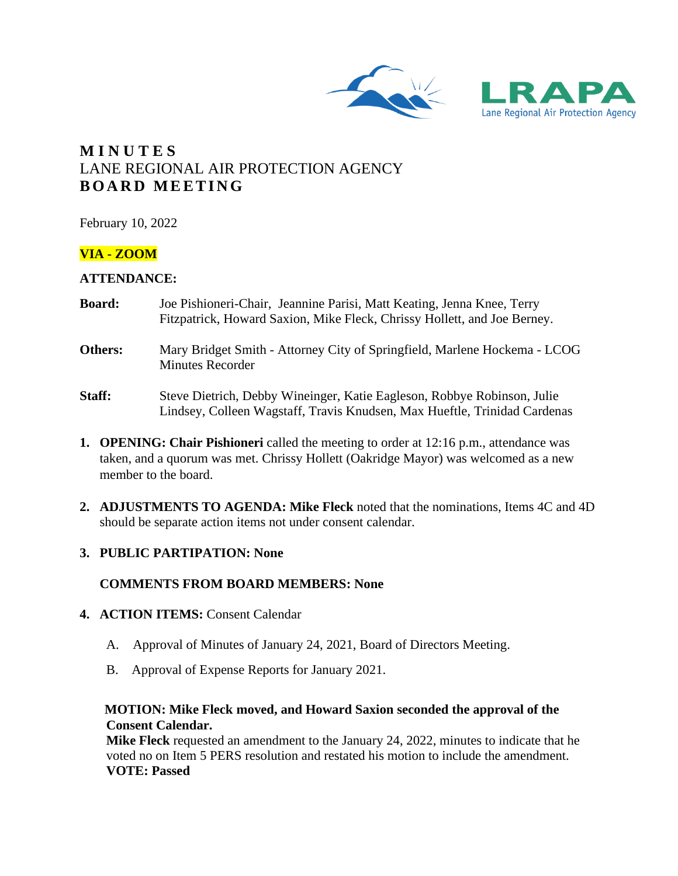



# **M I N U T E S** LANE REGIONAL AIR PROTECTION AGENCY **B O A R D M E E T I N G**

February 10, 2022

# **VIA - ZOOM**

## **ATTENDANCE:**

- **Board:** Joe Pishioneri-Chair, Jeannine Parisi, Matt Keating, Jenna Knee, Terry Fitzpatrick, Howard Saxion, Mike Fleck, Chrissy Hollett, and Joe Berney.
- **Others:** Mary Bridget Smith Attorney City of Springfield, Marlene Hockema LCOG Minutes Recorder
- **Staff:** Steve Dietrich, Debby Wineinger, Katie Eagleson, Robbye Robinson, Julie Lindsey, Colleen Wagstaff, Travis Knudsen, Max Hueftle, Trinidad Cardenas
- **1. OPENING: Chair Pishioneri** called the meeting to order at 12:16 p.m., attendance was taken, and a quorum was met. Chrissy Hollett (Oakridge Mayor) was welcomed as a new member to the board.
- **2. ADJUSTMENTS TO AGENDA: Mike Fleck** noted that the nominations, Items 4C and 4D should be separate action items not under consent calendar.
- **3. PUBLIC PARTIPATION: None**

# **COMMENTS FROM BOARD MEMBERS: None**

- **4. ACTION ITEMS:** Consent Calendar
	- A. Approval of Minutes of January 24, 2021, Board of Directors Meeting.
	- B. Approval of Expense Reports for January 2021.

## **MOTION: Mike Fleck moved, and Howard Saxion seconded the approval of the Consent Calendar.**

**Mike Fleck** requested an amendment to the January 24, 2022, minutes to indicate that he voted no on Item 5 PERS resolution and restated his motion to include the amendment. **VOTE: Passed**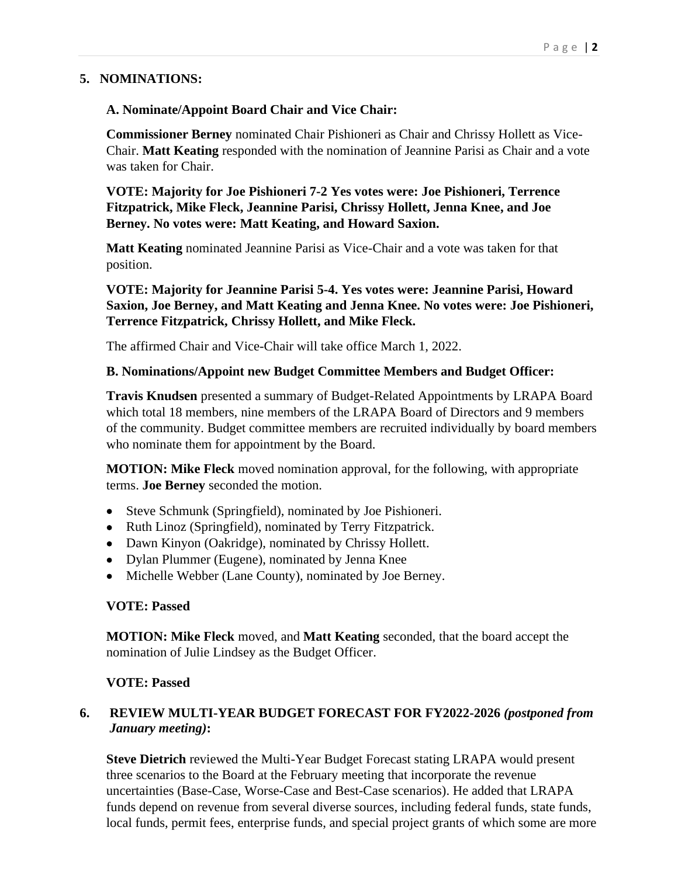# **5. NOMINATIONS:**

#### **A. Nominate/Appoint Board Chair and Vice Chair:**

**Commissioner Berney** nominated Chair Pishioneri as Chair and Chrissy Hollett as Vice-Chair. **Matt Keating** responded with the nomination of Jeannine Parisi as Chair and a vote was taken for Chair.

**VOTE: Majority for Joe Pishioneri 7-2 Yes votes were: Joe Pishioneri, Terrence Fitzpatrick, Mike Fleck, Jeannine Parisi, Chrissy Hollett, Jenna Knee, and Joe Berney. No votes were: Matt Keating, and Howard Saxion.**

**Matt Keating** nominated Jeannine Parisi as Vice-Chair and a vote was taken for that position.

**VOTE: Majority for Jeannine Parisi 5-4. Yes votes were: Jeannine Parisi, Howard Saxion, Joe Berney, and Matt Keating and Jenna Knee. No votes were: Joe Pishioneri, Terrence Fitzpatrick, Chrissy Hollett, and Mike Fleck.**

The affirmed Chair and Vice-Chair will take office March 1, 2022.

#### **B. Nominations/Appoint new Budget Committee Members and Budget Officer:**

**Travis Knudsen** presented a summary of Budget-Related Appointments by LRAPA Board which total 18 members, nine members of the LRAPA Board of Directors and 9 members of the community. Budget committee members are recruited individually by board members who nominate them for appointment by the Board.

**MOTION: Mike Fleck** moved nomination approval, for the following, with appropriate terms. **Joe Berney** seconded the motion.

- Steve Schmunk (Springfield), nominated by Joe Pishioneri.
- Ruth Linoz (Springfield), nominated by Terry Fitzpatrick.
- Dawn Kinyon (Oakridge), nominated by Chrissy Hollett.
- Dylan Plummer (Eugene), nominated by Jenna Knee
- Michelle Webber (Lane County), nominated by Joe Berney.

#### **VOTE: Passed**

**MOTION: Mike Fleck** moved, and **Matt Keating** seconded, that the board accept the nomination of Julie Lindsey as the Budget Officer.

#### **VOTE: Passed**

# **6. REVIEW MULTI-YEAR BUDGET FORECAST FOR FY2022-2026** *(postponed from January meeting)***:**

**Steve Dietrich** reviewed the Multi-Year Budget Forecast stating LRAPA would present three scenarios to the Board at the February meeting that incorporate the revenue uncertainties (Base-Case, Worse-Case and Best-Case scenarios). He added that LRAPA funds depend on revenue from several diverse sources, including federal funds, state funds, local funds, permit fees, enterprise funds, and special project grants of which some are more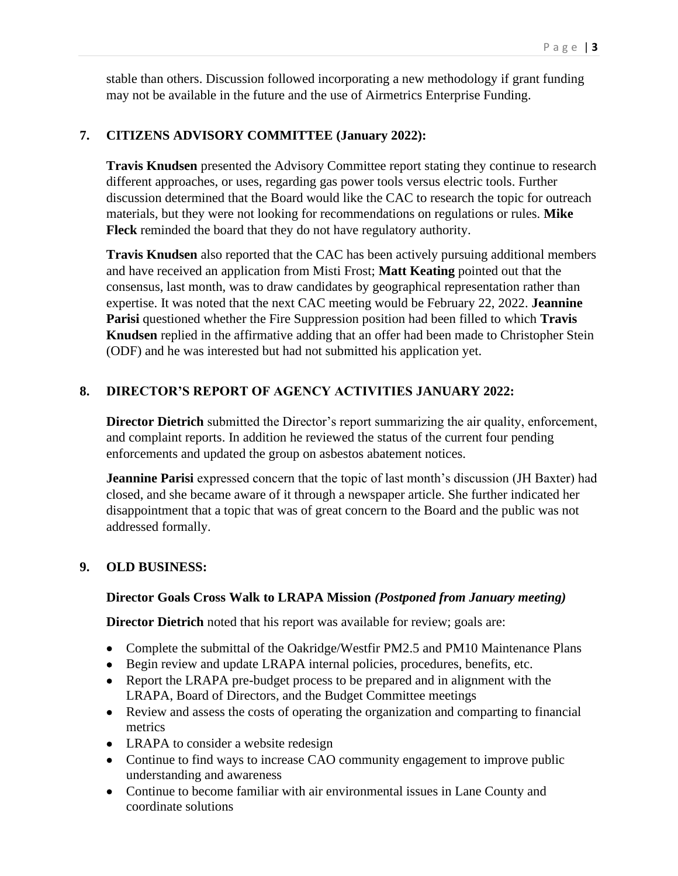stable than others. Discussion followed incorporating a new methodology if grant funding may not be available in the future and the use of Airmetrics Enterprise Funding.

## **7. CITIZENS ADVISORY COMMITTEE (January 2022):**

**Travis Knudsen** presented the Advisory Committee report stating they continue to research different approaches, or uses, regarding gas power tools versus electric tools. Further discussion determined that the Board would like the CAC to research the topic for outreach materials, but they were not looking for recommendations on regulations or rules. **Mike Fleck** reminded the board that they do not have regulatory authority.

**Travis Knudsen** also reported that the CAC has been actively pursuing additional members and have received an application from Misti Frost; **Matt Keating** pointed out that the consensus, last month, was to draw candidates by geographical representation rather than expertise. It was noted that the next CAC meeting would be February 22, 2022. **Jeannine Parisi** questioned whether the Fire Suppression position had been filled to which **Travis Knudsen** replied in the affirmative adding that an offer had been made to Christopher Stein (ODF) and he was interested but had not submitted his application yet.

## **8. DIRECTOR'S REPORT OF AGENCY ACTIVITIES JANUARY 2022:**

**Director Dietrich** submitted the Director's report summarizing the air quality, enforcement, and complaint reports. In addition he reviewed the status of the current four pending enforcements and updated the group on asbestos abatement notices.

**Jeannine Parisi** expressed concern that the topic of last month's discussion (JH Baxter) had closed, and she became aware of it through a newspaper article. She further indicated her disappointment that a topic that was of great concern to the Board and the public was not addressed formally.

#### **9. OLD BUSINESS:**

#### **Director Goals Cross Walk to LRAPA Mission** *(Postponed from January meeting)*

**Director Dietrich** noted that his report was available for review; goals are:

- Complete the submittal of the Oakridge/Westfir PM2.5 and PM10 Maintenance Plans
- Begin review and update LRAPA internal policies, procedures, benefits, etc.
- Report the LRAPA pre-budget process to be prepared and in alignment with the LRAPA, Board of Directors, and the Budget Committee meetings
- Review and assess the costs of operating the organization and comparting to financial metrics
- LRAPA to consider a website redesign
- Continue to find ways to increase CAO community engagement to improve public understanding and awareness
- Continue to become familiar with air environmental issues in Lane County and coordinate solutions